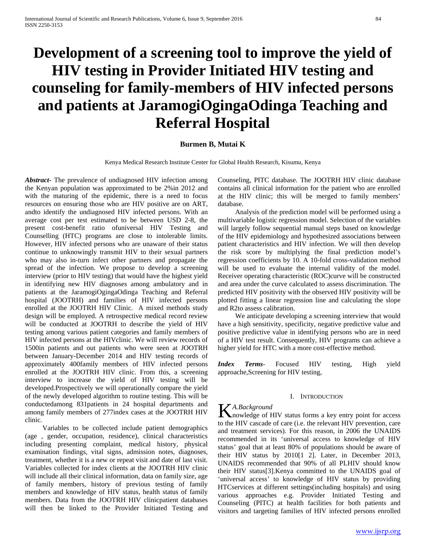# **Development of a screening tool to improve the yield of HIV testing in Provider Initiated HIV testing and counseling for family-members of HIV infected persons and patients at JaramogiOgingaOdinga Teaching and Referral Hospital**

## **Burmen B, Mutai K**

Kenya Medical Research Institute Center for Global Health Research, Kisumu, Kenya

*Abstract***-** The prevalence of undiagnosed HIV infection among the Kenyan population was approximated to be 2%in 2012 and with the maturing of the epidemic, there is a need to focus resources on ensuring those who are HIV positive are on ART, andto identify the undiagnosed HIV infected persons. With an average cost per test estimated to be between USD 2-8, the present cost-benefit ratio ofuniversal HIV Testing and Counselling (HTC) programs are close to intolerable limits. However, HIV infected persons who are unaware of their status continue to unknowingly transmit HIV to their sexual partners who may also in-turn infect other partners and propagate the spread of the infection. We propose to develop a screening interview (prior to HIV testing) that would have the highest yield in identifying new HIV diagnoses among ambulatory and in patients at the JaramogiOgingaOdinga Teaching and Referral hospital (JOOTRH) and families of HIV infected persons enrolled at the JOOTRH HIV Clinic. A mixed methods study design will be employed. A retrospective medical record review will be conducted at JOOTRH to describe the yield of HIV testing among various patient categories and family members of HIV infected persons at the HIVclinic. We will review records of 1500in patients and out patients who were seen at JOOTRH between January-December 2014 and HIV testing records of approximately 400family members of HIV infected persons enrolled at the JOOTRH HIV clinic. From this, a screening interview to increase the yield of HIV testing will be developed.Prospectively we will operationally compare the yield of the newly developed algorithm to routine testing. This will be conductedamong 831patients in 24 hospital departments and among family members of 277index cases at the JOOTRH HIV clinic.

 Variables to be collected include patient demographics (age , gender, occupation, residence), clinical characteristics including presenting complaint, medical history, physical examination findings, vital signs, admission notes, diagnoses, treatment, whether it is a new or repeat visit and date of last visit. Variables collected for index clients at the JOOTRH HIV clinic will include all their clinical information, data on family size, age of family members, history of previous testing of family members and knowledge of HIV status, health status of family members. Data from the JOOTRH HIV clinicpatient databases will then be linked to the Provider Initiated Testing and Counseling, PITC database. The JOOTRH HIV clinic database contains all clinical information for the patient who are enrolled at the HIV clinic; this will be merged to family members' database.

 Analysis of the prediction model will be performed using a multivariable logistic regression model. Selection of the variables will largely follow sequential manual steps based on knowledge of the HIV epidemiology and hypothesized associations between patient characteristics and HIV infection. We will then develop the risk score by multiplying the final prediction model's regression coefficients by 10. A 10-fold cross-validation method will be used to evaluate the internal validity of the model. Receiver operating characteristic (ROC)curve will be constructed and area under the curve calculated to assess discrimination. The predicted HIV positivity with the observed HIV positivity will be plotted fitting a linear regression line and calculating the slope and R2to assess calibration.

 We anticipate developing a screening interview that would have a high sensitivity, specificity, negative predictive value and positive predictive value in identifying persons who are in need of a HIV test result. Consequently, HIV programs can achieve a higher yield for HTC with a more cost-effective method.

*Index Terms*- Focused HIV testing, High yield approache,Screening for HIV testing,

#### I. INTRODUCTION

## *A.Background*

KA.Background<br>
nowledge of HIV status forms a key entry point for access to the HIV cascade of care (i.e. the relevant HIV prevention, care and treatment services). For this reason, in 2006 the UNAIDS recommended in its 'universal access to knowledge of HIV status' goal that at least 80% of populations should be aware of their HIV status by 2010[1 2]. Later, in December 2013, UNAIDS recommended that 90% of all PLHIV should know their HIV status[3].Kenya committed to the UNAIDS goal of 'universal access' to knowledge of HIV status by providing HTCservices at different settings(including hospitals) and using various approaches e.g. Provider Initiated Testing and Counseling (PITC) at health facilities for both patients and visitors and targeting families of HIV infected persons enrolled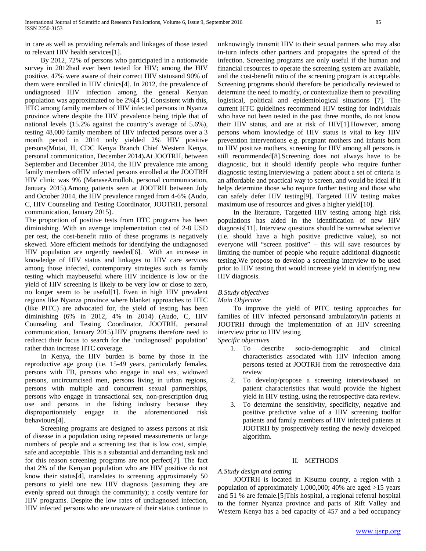in care as well as providing referrals and linkages of those tested to relevant HIV health services[1].

 By 2012, 72% of persons who participated in a nationwide survey in 2012had ever been tested for HIV; among the HIV positive, 47% were aware of their correct HIV statusand 90% of them were enrolled in HIV clinics[4]. In 2012, the prevalence of undiagnosed HIV infection among the general Kenyan population was approximated to be 2%[4 5]. Consistent with this, HTC among family members of HIV infected persons in Nyanza province where despite the HIV prevalence being triple that of national levels (15.2% against the country's average of 5.6%), testing 48,000 family members of HIV infected persons over a 3 month period in 2014 only yielded 2% HIV positive persons(Mutai, H, CDC Kenya Branch Chief Western Kenya, personal communication, December 2014)**.**At JOOTRH, between September and December 2014, the HIV prevalence rate among family members ofHIV infected persons enrolled at the JOOTRH HIV clinic was 9% (ManaseAmolloh, personal communication, January 2015).Among patients seen at JOOTRH between July and October 2014, the HIV prevalence ranged from 4-6% (Audo, C, HIV Counseling and Testing Coordinator, JOOTRH, personal communication, January 2015).

The proportion of positive tests from HTC programs has been diminishing. With an average implementation cost of 2-8 USD per test, the cost-benefit ratio of these programs is negatively skewed. More efficient methods for identifying the undiagnosed HIV population are urgently needed[6]. With an increase in knowledge of HIV status and linkages to HIV care services among those infected, contemporary strategies such as family testing which maybeuseful where HIV incidence is low or the yield of HIV screening is likely to be very low or close to zero, no longer seem to be useful[1]. Even in high HIV prevalent regions like Nyanza province where blanket approaches to HTC (like PITC) are advocated for, the yield of testing has been diminishing (6% in 2012, 4% in 2014) (Audo, C, HIV Counseling and Testing Coordinator, JOOTRH, personal communication, January 2015).HIV programs therefore need to redirect their focus to search for the 'undiagnosed' population' rather than increase HTC coverage.

 In Kenya, the HIV burden is borne by those in the reproductive age group (i.e. 15-49 years, particularly females, persons with TB, persons who engage in anal sex, widowed persons, uncircumcised men, persons living in urban regions, persons with multiple and concurrent sexual partnerships, persons who engage in transactional sex, non-prescription drug use and persons in the fishing industry because they disproportionately engage in the aforementioned risk behaviours[4].

 Screening programs are designed to assess persons at risk of disease in a population using repeated measurements or large numbers of people and a screening test that is low cost, simple, safe and acceptable. This is a substantial and demanding task and for this reason screening programs are not perfect[7]. The fact that 2% of the Kenyan population who are HIV positive do not know their status[4], translates to screening approximately 50 persons to yield one new HIV diagnosis (assuming they are evenly spread out through the community); a costly venture for HIV programs. Despite the low rates of undiagnosed infection, HIV infected persons who are unaware of their status continue to

unknowingly transmit HIV to their sexual partners who may also in-turn infects other partners and propagates the spread of the infection. Screening programs are only useful if the human and financial resources to operate the screening system are available, and the cost-benefit ratio of the screening program is acceptable. Screening programs should therefore be periodically reviewed to determine the need to modify, or contextualize them to prevailing logistical, political and epidemiological situations [7]. The current HTC guidelines recommend HIV testing for individuals who have not been tested in the past three months, do not know their HIV status, and are at risk of HIV[1].However, among persons whom knowledge of HIV status is vital to key HIV prevention interventions e.g. pregnant mothers and infants born to HIV positive mothers, screening for HIV among all persons is still recommended[8].Screening does not always have to be diagnostic, but it should identify people who require further diagnostic testing.Interviewing a patient about a set of criteria is an affordable and practical way to screen, and would be ideal if it helps determine those who require further testing and those who can safely defer HIV testing[9]. Targeted HIV testing makes maximum use of resources and gives a higher yield[10].

 In the literature, Targetted HIV testing among high risk populations has aided in the identification of new HIV diagnosis[11]. Interview questions should be somewhat selective (i.e. should have a high positive predictive value), so not everyone will "screen positive" – this will save resources by limiting the number of people who require additional diagnostic testing.We propose to develop a screening interview to be used prior to HIV testing that would increase yield in identifying new HIV diagnosis.

# *B.Study objectives*

## *Main Objective*

 To improve the yield of PITC testing approaches for families of HIV infected personsand ambulatory/in patients at JOOTRH through the implementation of an HIV screening interview prior to HIV testing

*Specific objectives*

- 1. To describe socio-demographic and clinical characteristics associated with HIV infection among persons tested at JOOTRH from the retrospective data review
- 2. To develop/propose a screening interviewbased on patient characteristics that would provide the highest yield in HIV testing, using the retrospective data review.
- 3. To determine the sensitivity, specificity, negative and positive predictive value of a HIV screening toolfor patients and family members of HIV infected patients at JOOTRH by prospectively testing the newly developed algorithm.

## II. METHODS

## *A.Study design and setting*

 JOOTRH is located in Kisumu county, a region with a population of approximately 1,000,000; 40% are aged >15 years and 51 % are female.[5]This hospital, a regional referral hospital to the former Nyanza province and parts of Rift Valley and Western Kenya has a bed capacity of 457 and a bed occupancy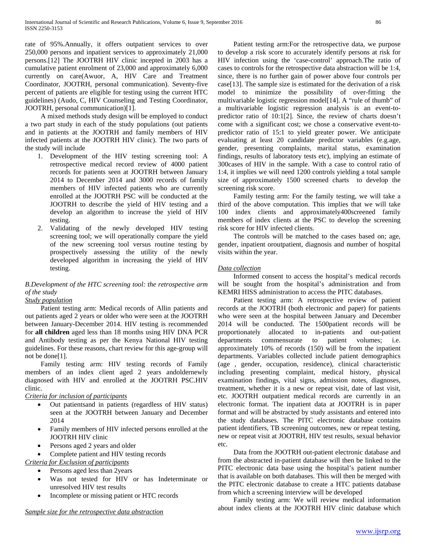rate of 95%.Annually, it offers outpatient services to over 250,000 persons and inpatient services to approximately 21,000 persons.[12] The JOOTRH HIV clinic incepted in 2003 has a cumulative patient enrolment of 23,000 and approximately 6,000 currently on care(Awuor, A, HIV Care and Treatment Coordinator, JOOTRH, personal communication). Seventy-five percent of patients are eligible for testing using the current HTC guidelines) (Audo, C, HIV Counseling and Testing Coordinator, JOOTRH, personal communication)[1].

 A mixed methods study design will be employed to conduct a two part study in each of the study populations (out patients and in patients at the JOOTRH and family members of HIV infected patients at the JOOTRH HIV clinic). The two parts of the study will include

- 1. Development of the HIV testing screening tool: A retrospective medical record review of 4000 patient records for patients seen at JOOTRH between January 2014 to December 2014 and 3000 records of family members of HIV infected patients who are currently enrolled at the JOOTRH PSC will be conducted at the JOOTRH to describe the yield of HIV testing and a develop an algorithm to increase the yield of HIV testing.
- 2. Validating of the newly developed HIV testing screening tool; we will operationally compare the yield of the new screening tool versus routine testing by prospectively assessing the utility of the newly developed algorithm in increasing the yield of HIV testing.

# *B.Development of the HTC screening tool: the retrospective arm of the study*

# *Study population*

 Patient testing arm: Medical records of Allin patients and out patients aged 2 years or older who were seen at the JOOTRH between January-December 2014. HIV testing is recommended for **all children** aged less than 18 months using HIV DNA PCR and Antibody testing as per the Kenya National HIV testing guidelines. For these reasons, chart review for this age-group will not be done[1].

 Family testing arm: HIV testing records of Family members of an index client aged 2 years andoldernewly diagnosed with HIV and enrolled at the JOOTRH PSC.HIV clinic.

# *Criteria for inclusion of participants*

- Out patientsand in patients (regardless of HIV status) seen at the JOOTRH between January and December 2014
- Family members of HIV infected persons enrolled at the JOOTRH HIV clinic
- Persons aged 2 years and older
- Complete patient and HIV testing records

*Criteria for Exclusion of participants*

Persons aged less than 2years

- Was not tested for HIV or has Indeterminate or unresolved HIV test results
- Incomplete or missing patient or HTC records

 Patient testing arm:For the retrospective data, we purpose to develop a risk score to accurately identify persons at risk for HIV infection using the 'case-control' approach.The ratio of cases to controls for the retrospective data abstraction will be 1:4, since, there is no further gain of power above four controls per case[13]. The sample size is estimated for the derivation of a risk model to minimize the possibility of over-fitting the multivariable logistic regression model[14]. A "rule of thumb" of a multivariable logistic regression analysis is an event-topredictor ratio of 10:1[2]. Since, the review of charts doesn't come with a significant cost; we chose a conservative event-topredictor ratio of 15:1 to yield greater power. We anticipate evaluating at least 20 candidate predictor variables (e.g.age, gender, presenting complaints, marital status, examination findings, results of laboratory tests etc), implying an estimate of 300cases of HIV in the sample. With a case to control ratio of 1:4, it implies we will need 1200 controls yielding a total sample size of approximately 1500 screened charts to develop the screening risk score.

 Family testing arm: For the family testing, we will take a third of the above computation. This implies that we will take 100 index clients and approximately400screened family members of index clients at the PSC to develop the screening risk score for HIV infected clients.

 The controls will be matched to the cases based on; age, gender, inpatient oroutpatient, diagnosis and number of hospital visits within the year.

# *Data collection*

 Informed consent to access the hospital's medical records will be sought from the hospital's administration and from KEMRI HISS administration to access the PITC databases.

 Patient testing arm: A retrospective review of patient records at the JOOTRH (both electronic and paper) for patients who were seen at the hospital between January and December 2014 will be conducted. The 1500patient records will be proportionately allocated to in-patients and out-patient departments commensurate to patient volumes; i.e. approximately 10% of records (150) will be from the inpatient departments. Variables collected include patient demographics (age , gender, occupation, residence), clinical characteristic including presenting complaint, medical history, physical examination findings, vital signs, admission notes, diagnoses, treatment, whether it is a new or repeat visit, date of last visit, etc. JOOTRH outpatient medical records are currently in an electronic format. The inpatient data at JOOTRH is in paper format and will be abstracted by study assistants and entered into the study databases. The PITC electronic database contains patient identifiers, TB screening outcomes, new or repeat testing, new or repeat visit at JOOTRH, HIV test results, sexual behavior etc.

 Data from the JOOTRH out-patient electronic database and from the abstracted in-patient database will then be linked to the PITC electronic data base using the hospital's patient number that is available on both databases. This will then be merged with the PITC electronic database to create a HTC patients database from which a screening interview will be developed

 Family testing arm: We will review medical information about index clients at the JOOTRH HIV clinic database which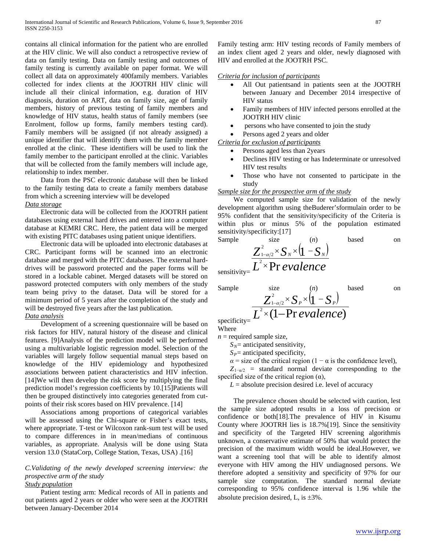contains all clinical information for the patient who are enrolled at the HIV clinic. We will also conduct a retrospective review of data on family testing. Data on family testing and outcomes of family testing is currently available on paper format. We will collect all data on approximately 400family members. Variables collected for index clients at the JOOTRH HIV clinic will include all their clinical information, e.g. duration of HIV diagnosis, duration on ART, data on family size, age of family members, history of previous testing of family members and knowledge of HIV status, health status of family members (see Enrolment, follow up forms, family members testing card). Family members will be assigned (if not already assigned) a unique identifier that will identify them with the family member enrolled at the clinic. These identifiers will be used to link the family member to the participant enrolled at the clinic. Variables that will be collected from the family members will include age, relationship to index member.

 Data from the PSC electronic database will then be linked to the family testing data to create a family members database from which a screening interview will be developed *Data storage*

 Electronic data will be collected from the JOOTRH patient databases using external hard drives and entered into a computer database at KEMRI CRC. Here, the patient data will be merged with existing PITC databases using patient unique identifiers.

 Electronic data will be uploaded into electronic databases at CRC. Participant forms will be scanned into an electronic database and merged with the PITC databases. The external harddrives will be password protected and the paper forms will be stored in a lockable cabinet. Merged datasets will be stored on password protected computers with only members of the study team being privy to the dataset. Data will be stored for a minimum period of 5 years after the completion of the study and will be destroyed five years after the last publication.

## *Data analysis*

 Development of a screening questionnaire will be based on risk factors for HIV, natural history of the disease and clinical features. [9]Analysis of the prediction model will be performed using a multivariable logistic regression model. Selection of the variables will largely follow sequential manual steps based on knowledge of the HIV epidemiology and hypothesized associations between patient characteristics and HIV infection. [14]We will then develop the risk score by multiplying the final prediction model's regression coefficients by 10.[15]Patients will then be grouped distinctively into categories generated from cutpoints of their risk scores based on HIV prevalence. [14]

 Associations among proportions of categorical variables will be assessed using the Chi-square or Fisher's exact tests, where appropriate. T-test or Wilcoxon rank-sum test will be used to compare differences in in mean/medians of continuous variables, as appropriate. Analysis will be done using Stata version 13.0 (StataCorp, College Station, Texas, USA) .[16]

# *C.Validating of the newly developed screening interview: the prospective arm of the study*

# *Study population*

 Patient testing arm: Medical records of All in patients and out patients aged 2 years or older who were seen at the JOOTRH between January-December 2014

Family testing arm: HIV testing records of Family members of an index client aged 2 years and older, newly diagnosed with HIV and enrolled at the JOOTRH PSC.

## *Criteria for inclusion of participants*

- All Out patientsand in patients seen at the JOOTRH between January and December 2014 irrespective of HIV status
- Family members of HIV infected persons enrolled at the JOOTRH HIV clinic
- persons who have consented to join the study
- Persons aged 2 years and older

*Criteria for exclusion of participants* 

- Persons aged less than 2years
- Declines HIV testing or has Indeterminate or unresolved HIV test results
- Those who have not consented to participate in the study

## *Sample size for the prospective arm of the study*

 We computed sample size for validation of the newly development algorithm using theBuderer'sformulain order to be 95% confident that the sensitivity/specificity of the Criteria is within plus or minus 5% of the population estimated sensitivity/specificity:[17]

Sample  
\n
$$
\frac{Z_{1-\alpha/2}^{2} \times S_{N} \times (1 - S_{N})}{Z_{1-\alpha/2}^{2} \times \text{Pr} \, \text{evalence}}
$$
\n
$$
\sum_{\text{sensitivity} = 1}^{1} \frac{Z_{1-\alpha/2}^{2} \times S_{N} \times (1 - S_{N})}{Z_{1-\alpha/2}^{2} \times Z_{N}^{2}}
$$

sensitivity= $\mathcal{L}$ 

Sample size 
$$
\frac{Z_{1-a/2}^{2} \times S_{P} \times (1 - S_{P})}{Z_{1-a/2}^{2} \times (1 - \text{Pr } \text{evalence})}
$$

specificity= Where

 $n$  = required sample size,

 $S_N$ = anticipated sensitivity,

 $S_P$ = anticipated specificity,

 $\alpha$  = size of the critical region (1 –  $\alpha$  is the confidence level),

 $(1 - S_n)$ 

 $\underline{\mathfrak{l}}$ 

 $Z_{1-\alpha/2}$  = standard normal deviate corresponding to the specified size of the critical region  $(\alpha)$ ,

 $L =$  absolute precision desired i.e. level of accuracy

 The prevalence chosen should be selected with caution, lest the sample size adopted results in a loss of precision or confidence or both[18].The prevalence of HIV in Kisumu County where JOOTRH lies is 18.7%[19]. Since the sensitivity and specificity of the Targeted HIV screening algorithmis unknown, a conservative estimate of 50% that would protect the precision of the maximum width would be ideal.However, we want a screening tool that will be able to identify almost everyone with HIV among the HIV undiagnosed persons. We therefore adopted a sensitivity and specificity of 97% for our sample size computation. The standard normal deviate corresponding to 95% confidence interval is 1.96 while the absolute precision desired, L, is ±3%.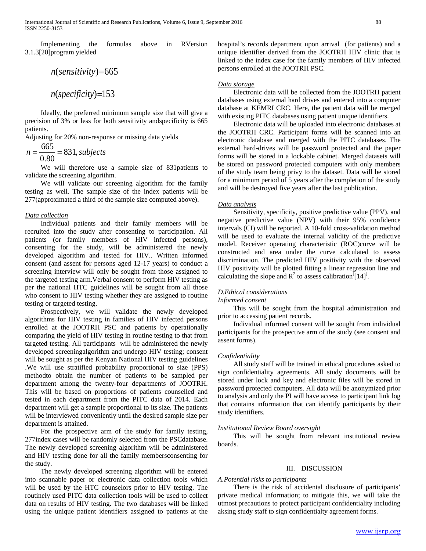Implementing the formulas above in RVersion 3.1.3[20]program yielded

$$
n(sensitivity)=665
$$

*n*(*specificity*)=153

 Ideally, the preferred minimum sample size that will give a precision of 3% or less for both sensitivity andspecificity is 665 patients.

Adjusting for 20% non-response or missing data yields

$$
n = \frac{665}{0.80} = 831, \text{ subjects}
$$

 We will therefore use a sample size of 831patients to validate the screening algorithm.

 We will validate our screening algorithm for the family testing as well. The sample size of the index patients will be 277(approximated a third of the sample size computed above).

## *Data collection*

 Individual patients and their family members will be recruited into the study after consenting to participation. All patients (or family members of HIV infected persons), consenting for the study, will be administered the newly developed algorithm and tested for HIV.. Written informed consent (and assent for persons aged 12-17 years) to conduct a screening interview will only be sought from those assigned to the targeted testing arm.Verbal consent to perform HIV testing as per the national HTC guidelines will be sought from all those who consent to HIV testing whether they are assigned to routine testing or targeted testing.

 Prospectively, we will validate the newly developed algorithms for HIV testing in families of HIV infected persons enrolled at the JOOTRH PSC and patients by operationally comparing the yield of HIV testing in routine testing to that from targeted testing. All participants will be administered the newly developed screeningalgorithm and undergo HIV testing; consent will be sought as per the Kenyan National HIV testing guidelines .We will use stratified probability proportional to size (PPS) methodto obtain the number of patients to be sampled per department among the twenty-four departments of JOOTRH. This will be based on proportions of patients counselled and tested in each department from the PITC data of 2014. Each department will get a sample proportional to its size. The patients will be interviewed conveniently until the desired sample size per department is attained.

 For the prospective arm of the study for family testing, 277index cases will be randomly selected from the PSCdatabase. The newly developed screening algorithm will be administered and HIV testing done for all the family membersconsenting for the study.

 The newly developed screening algorithm will be entered into scannable paper or electronic data collection tools which will be used by the HTC counselors prior to HIV testing. The routinely used PITC data collection tools will be used to collect data on results of HIV testing. The two databases will be linked using the unique patient identifiers assigned to patients at the hospital's records department upon arrival (for patients) and a unique identifier derived from the JOOTRH HIV clinic that is linked to the index case for the family members of HIV infected persons enrolled at the JOOTRH PSC.

#### *Data storage*

 Electronic data will be collected from the JOOTRH patient databases using external hard drives and entered into a computer database at KEMRI CRC. Here, the patient data will be merged with existing PITC databases using patient unique identifiers.

 Electronic data will be uploaded into electronic databases at the JOOTRH CRC. Participant forms will be scanned into an electronic database and merged with the PITC databases. The external hard-drives will be password protected and the paper forms will be stored in a lockable cabinet. Merged datasets will be stored on password protected computers with only members of the study team being privy to the dataset. Data will be stored for a minimum period of 5 years after the completion of the study and will be destroyed five years after the last publication.

## *Data analysis*

 Sensitivity, specificity, positive predictive value (PPV), and negative predictive value (NPV) with their 95% confidence intervals (CI) will be reported. A 10-fold cross-validation method will be used to evaluate the internal validity of the predictive model. Receiver operating characteristic (ROC)curve will be constructed and area under the curve calculated to assess discrimination. The predicted HIV positivity with the observed HIV positivity will be plotted fitting a linear regression line and calculating the slope and  $\mathbb{R}^2$  to assess calibration<sup>[[14]</sup>.

#### *D.Ethical considerations*

#### *Informed consent*

 This will be sought from the hospital administration and prior to accessing patient records.

 Individual informed consent will be sought from individual participants for the prospective arm of the study (see consent and assent forms).

#### *Confidentiality*

 All study staff will be trained in ethical procedures asked to sign confidentiality agreements. All study documents will be stored under lock and key and electronic files will be stored in password protected computers. All data will be anonymized prior to analysis and only the PI will have access to participant link log that contains information that can identify participants by their study identifiers.

#### *Institutional Review Board oversight*

 This will be sought from relevant institutional review boards.

## III. DISCUSSION

#### *A.Potential risks to participants*

 There is the risk of accidental disclosure of participants' private medical information; to mitigate this, we will take the utmost precautions to protect participant confidentiality including aksing study staff to sign confidentialty agreement forms.